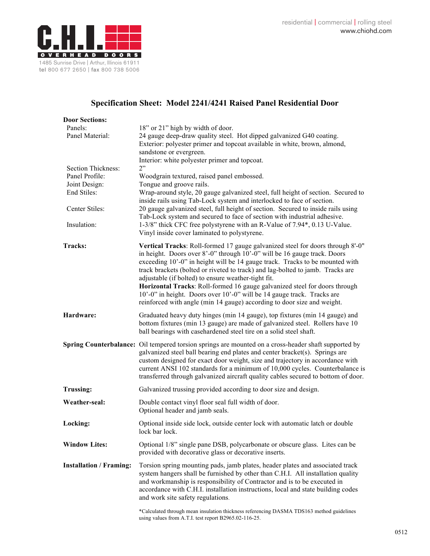

## **Specification Sheet: Model 2241/4241 Raised Panel Residential Door**

| <b>Door Sections:</b>          |                                                                                                                                                                                                                                                                                                                                                                                                                                                                                                                                                                                                                        |
|--------------------------------|------------------------------------------------------------------------------------------------------------------------------------------------------------------------------------------------------------------------------------------------------------------------------------------------------------------------------------------------------------------------------------------------------------------------------------------------------------------------------------------------------------------------------------------------------------------------------------------------------------------------|
| Panels:                        | 18" or 21" high by width of door.                                                                                                                                                                                                                                                                                                                                                                                                                                                                                                                                                                                      |
| Panel Material:                | 24 gauge deep-draw quality steel. Hot dipped galvanized G40 coating.<br>Exterior: polyester primer and topcoat available in white, brown, almond,<br>sandstone or evergreen.                                                                                                                                                                                                                                                                                                                                                                                                                                           |
|                                | Interior: white polyester primer and topcoat.                                                                                                                                                                                                                                                                                                                                                                                                                                                                                                                                                                          |
| Section Thickness:             | 2"                                                                                                                                                                                                                                                                                                                                                                                                                                                                                                                                                                                                                     |
| Panel Profile:                 | Woodgrain textured, raised panel embossed.                                                                                                                                                                                                                                                                                                                                                                                                                                                                                                                                                                             |
| Joint Design:                  | Tongue and groove rails.                                                                                                                                                                                                                                                                                                                                                                                                                                                                                                                                                                                               |
| End Stiles:                    | Wrap-around style, 20 gauge galvanized steel, full height of section. Secured to<br>inside rails using Tab-Lock system and interlocked to face of section.                                                                                                                                                                                                                                                                                                                                                                                                                                                             |
| Center Stiles:                 | 20 gauge galvanized steel, full height of section. Secured to inside rails using<br>Tab-Lock system and secured to face of section with industrial adhesive.                                                                                                                                                                                                                                                                                                                                                                                                                                                           |
| Insulation:                    | 1-3/8" thick CFC free polystyrene with an R-Value of 7.94*, 0.13 U-Value.<br>Vinyl inside cover laminated to polystyrene.                                                                                                                                                                                                                                                                                                                                                                                                                                                                                              |
| Tracks:                        | Vertical Tracks: Roll-formed 17 gauge galvanized steel for doors through 8'-0"<br>in height. Doors over 8'-0" through 10'-0" will be 16 gauge track. Doors<br>exceeding 10'-0" in height will be 14 gauge track. Tracks to be mounted with<br>track brackets (bolted or riveted to track) and lag-bolted to jamb. Tracks are<br>adjustable (if bolted) to ensure weather-tight fit.<br>Horizontal Tracks: Roll-formed 16 gauge galvanized steel for doors through<br>10'-0" in height. Doors over 10'-0" will be 14 gauge track. Tracks are<br>reinforced with angle (min 14 gauge) according to door size and weight. |
| Hardware:                      | Graduated heavy duty hinges (min 14 gauge), top fixtures (min 14 gauge) and<br>bottom fixtures (min 13 gauge) are made of galvanized steel. Rollers have 10<br>ball bearings with casehardened steel tire on a solid steel shaft.                                                                                                                                                                                                                                                                                                                                                                                      |
|                                | Spring Counterbalance: Oil tempered torsion springs are mounted on a cross-header shaft supported by<br>galvanized steel ball bearing end plates and center bracket(s). Springs are<br>custom designed for exact door weight, size and trajectory in accordance with<br>current ANSI 102 standards for a minimum of 10,000 cycles. Counterbalance is<br>transferred through galvanized aircraft quality cables secured to bottom of door.                                                                                                                                                                              |
| <b>Trussing:</b>               | Galvanized trussing provided according to door size and design.                                                                                                                                                                                                                                                                                                                                                                                                                                                                                                                                                        |
| Weather-seal:                  | Double contact vinyl floor seal full width of door.<br>Optional header and jamb seals.                                                                                                                                                                                                                                                                                                                                                                                                                                                                                                                                 |
| Locking:                       | Optional inside side lock, outside center lock with automatic latch or double<br>lock bar lock.                                                                                                                                                                                                                                                                                                                                                                                                                                                                                                                        |
| <b>Window Lites:</b>           | Optional 1/8" single pane DSB, polycarbonate or obscure glass. Lites can be<br>provided with decorative glass or decorative inserts.                                                                                                                                                                                                                                                                                                                                                                                                                                                                                   |
| <b>Installation / Framing:</b> | Torsion spring mounting pads, jamb plates, header plates and associated track<br>system hangers shall be furnished by other than C.H.I. All installation quality<br>and workmanship is responsibility of Contractor and is to be executed in<br>accordance with C.H.I. installation instructions, local and state building codes<br>and work site safety regulations.                                                                                                                                                                                                                                                  |
|                                | *Calculated through mean insulation thickness referencing DASMA TDS163 method guidelines<br>using values from A.T.I. test report B2965.02-116-25.                                                                                                                                                                                                                                                                                                                                                                                                                                                                      |